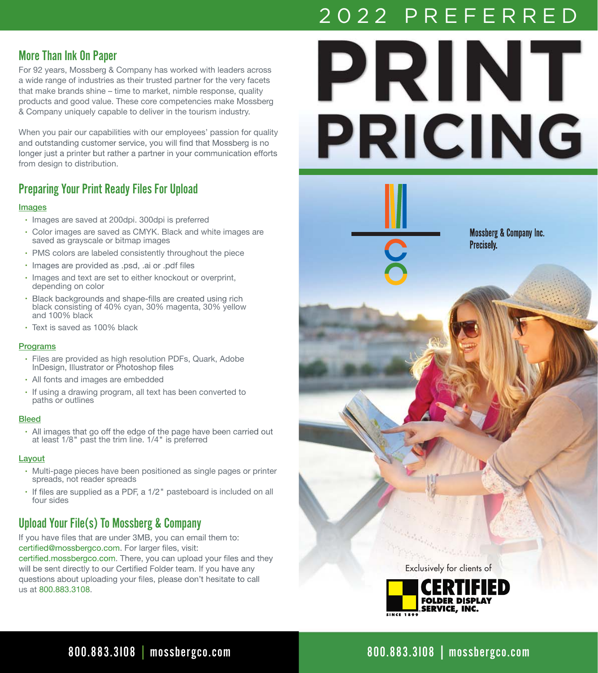## More Than Ink On Paper

For 92 years, Mossberg & Company has worked with leaders across a wide range of industries as their trusted partner for the very facets that make brands shine – time to market, nimble response, quality products and good value. These core competencies make Mossberg & Company uniquely capable to deliver in the tourism industry.

When you pair our capabilities with our employees' passion for quality and outstanding customer service, you will find that Mossberg is no longer just a printer but rather a partner in your communication efforts from design to distribution.

## Preparing Your Print Ready Files For Upload

#### Images

- Images are saved at 200dpi. 300dpi is preferred
- Color images are saved as CMYK. Black and white images are saved as grayscale or bitmap images
- PMS colors are labeled consistently throughout the piece
- · Images are provided as .psd, .ai or .pdf files
- $\cdot$  Images and text are set to either knockout or overprint, depending on color
- Black backgrounds and shape-fills are created using rich black consisting of 40% cyan, 30% magenta, 30% yellow and 100% black
- Text is saved as 100% black

#### Programs

- Files are provided as high resolution PDFs, Quark, Adobe
- All fonts and images are embedded
- If using a drawing program, all text has been converted to paths or outlines

#### **Bleed**

• All images that go off the edge of the page have<br>at least 1/8" past the trim line. 1/4" is preferred

#### Layout

- Multi-page pieces have been positioned as single pages or printer spreads, not reader spreads
- If files are supplied as a PDF, a 1/2" pasteboard is included on all four sides

## Upload Your File(s) To Mossberg & Company

If you have files that are under 3MB, you can email them to: certified@mossbergco.com. For larger files, visit:

certified.mossbergco.com. There, you can upload your files and they will be sent directly to our Certified Folder team. If you have any questions about uploading your files, please don't hesitate to call us at 800.883.3108.



# 800.883.3108 | mossbergco.com

800.883.3I08 I mossbergco.com